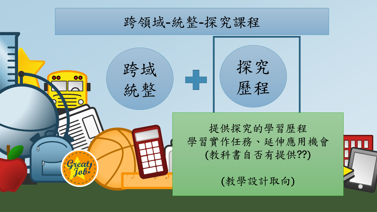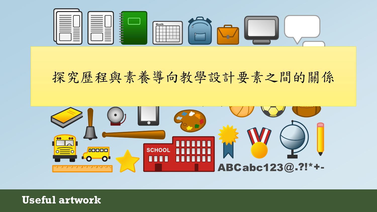

### 探究歷程與素導向教學設計要素之間的關係



**Useful artwork**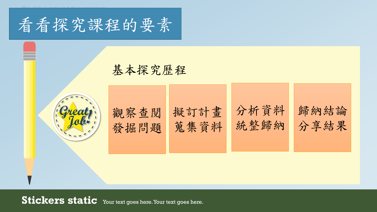

This slide is static and does not animate.

### 基本探究歷程

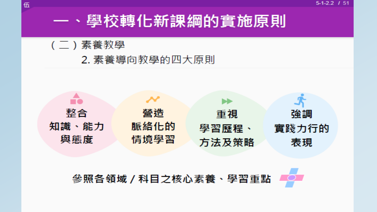$5-1-2.2$  / 51

## 一、學校轉化新課綱的實施原則

(二)素養教學

伍

2. 素養導向教學的四大原則



### 參照各領域 / 科目之核心素養、學習重點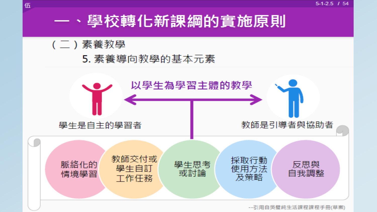## 一、學校轉化新課綱的實施原則

#### (二)素養教學

伍

#### 5. 素養導向教學的基本元素

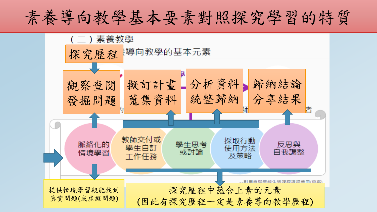# 素養導向教學基本要素對照探究學習的特質

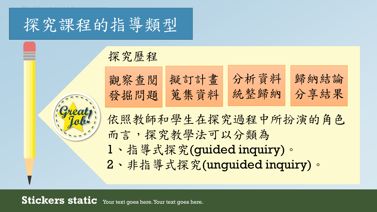探究課程的指導類型

This slide is static and does not animate.

探究歷程

| 觀察查閱 擬訂計畫 | 分析資料      | 歸納結論 |
|-----------|-----------|------|
| 發掘問題 宽集資料 | 統整歸納 分享結果 |      |

依照教師和學生在探究過程中所扮演的角色 而言,探究教學法可以分類為 1、指導式探究(guided inquiry)。 2、非指導式探究(unguided inquiry)。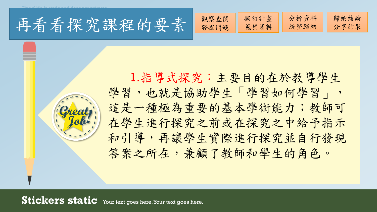再看看探究課程的要素 。

This slide is static and does not animate.

發掘問題 擬訂計畫 蒐集資料 分析資料 統整歸納 歸納結論 分享結果

1.指導式探究:主要目的在於教導學生 學習,也就是協助學生「學習如何學習」, 這是一種極為重要的基本學術能力;教師可 在學生進行探究之前或在探究之中給予指示 和引導,再讓學生實際進行探究並自行發現 答案之所在,兼顧了教師和學生的角色。

**Stickers static** Your text goes here. Your text goes here.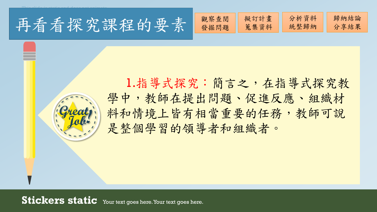再看看探究課程的要素

This slide is static and does not animate.

|  | 察查閱<br>發掘<br>題<br>$\mathbf{p}$ | 擬訂計畫<br>資料<br>兒 | ` 牂<br>U<br>約<br>ろか<br>一个 | 結論<br>$\sim$ $\sim$ |
|--|--------------------------------|-----------------|---------------------------|---------------------|
|--|--------------------------------|-----------------|---------------------------|---------------------|

1.指導式探究:簡言之,在指導式探究教 學中,教師在提出問題、促進反應、組織材 料和情境上皆有相當重要的任務,教師可說 是整個學習的領導者和組織者。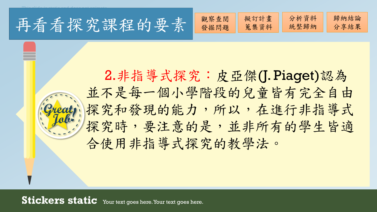再看看探究課程的要素 。

This slide is static and does not animate.

2.非指導式探究:皮亞傑(J. Piaget)認為 並不是每一個小學階段的兒童皆有完全自由 探究和發現的能力,所以,在進行非指導式 探究時,要注意的是,並非所有的學生皆適 合使用非指導式探究的教學法。

發掘問題

擬訂計畫

分析資料

歸納結論

分享結果

統整歸納

蒐集資料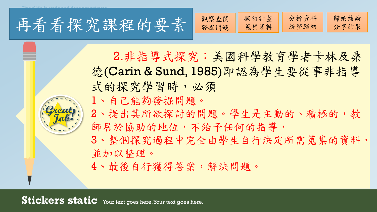再看看探究課程的要素

| 閲<br>畫<br>奚<br>ã<br>日<br>色<br>伙<br>stel<br>ロデ<br>鬼<br>景貝<br>$H_{\rm H}$ | 不十<br>卶<br>D. | 論<br>$\mathbb{R}^n$<br>田<br>与<br>-- |
|-------------------------------------------------------------------------|---------------|-------------------------------------|
|-------------------------------------------------------------------------|---------------|-------------------------------------|

2.非指導式探究:美國科學教育學者卡林及桑 德(Carin & Sund, 1985)即認為學生要從事非指導 式的探究學習時,必須 1、自己能夠發掘問題。

This slide is static and does not animate.

2、提出其所欲探討的問題。學生是主動的、積極的,教 師居於協助的地位,不給予任何的指導,

3、整個探究過程中完全由學生自行決定所需蒐集的資料, 並加以整理。

4、最後自行獲得答案,解決問題。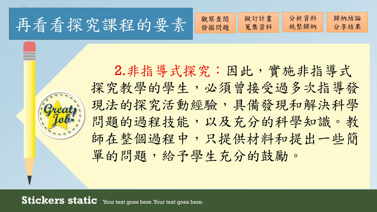再看看探究課程的要素 譜

This slide is static and does not animate.



2.非指導式探究:因此,實施非指導式 探究教學的學生,必須曾接受過多次指導發 現法的探究活動經驗,具備發現和解決科學 問題的過程技能,以及充分的科學知識。教 師在整個過程中,只提供材料和提出一些簡 單的問題,給予學生充分的鼓勵。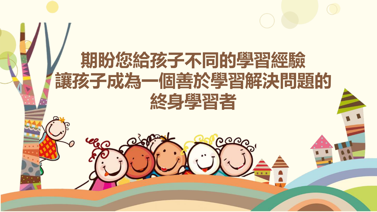